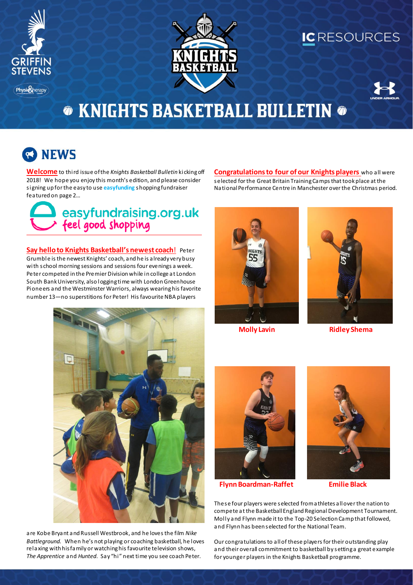

**Physion** herapy



### ICRESOURCES



# **THE KNIGHTS BASKETBALL BULLETIN THE**

# **NEWS**

**Welcome** to third issue of the *Knights Basketball Bulletin* kicking off 2018! We hope you enjoy this month's edition, and please consider signing up for the easy to use **easyfunding** shopping fundraiser featured on page 2…

### easyfundraising.org.uk  $\rightarrow$  feel good shopping

**Say hello to Knights Basketball's newest coach**! Peter Grumble is the newest Knights' coach, and he is already very busy with school morning sessions and sessions four evenings a week. Peter competed in the Premier Division while in college at London South Bank University, also logging time with London Greenhouse Pioneers and the Westminster Warriors, always wearing his favorite number 13—no superstitions for Peter! His favourite NBA players

**Congratulations to four of our Knights players** who all were selected for the Great Britain Training Camps that took place at the National Performance Centre in Manchester over the Christmas period.





**Molly Lavin Ridley Shema**



are Kobe Bryant and Russell Westbrook, and he loves the film *Nike Battleground.* When he's not playing or coaching basketball, he loves relaxing with his family or watching his favourite television shows, *The Apprentice* and *Hunted*. Say "hi" next time you see coach Peter.



**Flynn Boardman-Raffet Emilie Black**



These four players were selected from athletes all over the nation to compete at the Basketball England Regional Development Tournament. Molly and Flynn made it to the Top-20 Selection Camp that followed, and Flynn has been selected for the National Team.

Our congratulations to all of these players for their outstanding play and their overall commitment to basketball by setting a great example for younger players in the Knights Basketball programme.